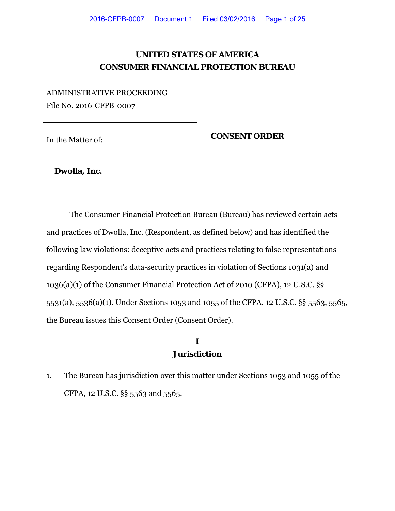## **UNITED STATES OF AMERICA CONSUMER FINANCIAL PROTECTION BUREAU**

ADMINISTRATIVE PROCEEDING File No. 2016-CFPB-0007

In the Matter of: **CONSENT ORDER** 

 **Dwolla, Inc.**

The Consumer Financial Protection Bureau (Bureau) has reviewed certain acts and practices of Dwolla, Inc. (Respondent, as defined below) and has identified the following law violations: deceptive acts and practices relating to false representations regarding Respondent's data-security practices in violation of Sections 1031(a) and 1036(a)(1) of the Consumer Financial Protection Act of 2010 (CFPA), 12 U.S.C. §§ 5531(a), 5536(a)(1). Under Sections 1053 and 1055 of the CFPA, 12 U.S.C. §§ 5563, 5565, the Bureau issues this Consent Order (Consent Order).

### **I Jurisdiction**

1. The Bureau has jurisdiction over this matter under Sections 1053 and 1055 of the CFPA, 12 U.S.C. §§ 5563 and 5565.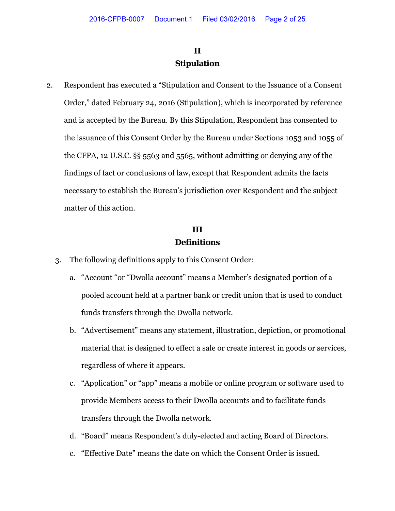## **II Stipulation**

2. Respondent has executed a "Stipulation and Consent to the Issuance of a Consent Order," dated February 24, 2016 (Stipulation), which is incorporated by reference and is accepted by the Bureau. By this Stipulation, Respondent has consented to the issuance of this Consent Order by the Bureau under Sections 1053 and 1055 of the CFPA, 12 U.S.C. §§ 5563 and 5565, without admitting or denying any of the findings of fact or conclusions of law, except that Respondent admits the facts necessary to establish the Bureau's jurisdiction over Respondent and the subject matter of this action.

### **III Definitions**

- 3. The following definitions apply to this Consent Order:
	- a. "Account "or "Dwolla account" means a Member's designated portion of a pooled account held at a partner bank or credit union that is used to conduct funds transfers through the Dwolla network.
	- b. "Advertisement" means any statement, illustration, depiction, or promotional material that is designed to effect a sale or create interest in goods or services, regardless of where it appears.
	- c. "Application" or "app" means a mobile or online program or software used to provide Members access to their Dwolla accounts and to facilitate funds transfers through the Dwolla network.
	- d. "Board" means Respondent's duly-elected and acting Board of Directors.
	- c. "Effective Date" means the date on which the Consent Order is issued.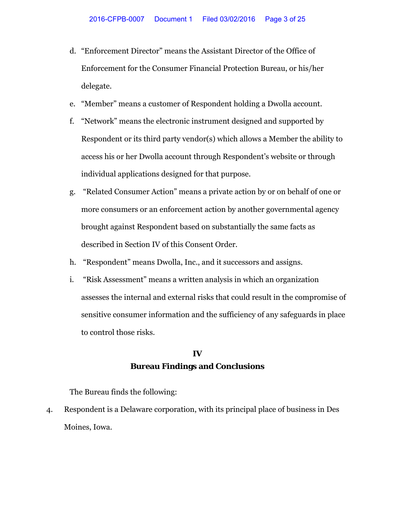- d. "Enforcement Director" means the Assistant Director of the Office of Enforcement for the Consumer Financial Protection Bureau, or his/her delegate.
- e. "Member" means a customer of Respondent holding a Dwolla account.
- f. "Network" means the electronic instrument designed and supported by Respondent or its third party vendor(s) which allows a Member the ability to access his or her Dwolla account through Respondent's website or through individual applications designed for that purpose.
- g. "Related Consumer Action" means a private action by or on behalf of one or more consumers or an enforcement action by another governmental agency brought against Respondent based on substantially the same facts as described in Section IV of this Consent Order.
- h. "Respondent" means Dwolla, Inc., and it successors and assigns.
- i. "Risk Assessment" means a written analysis in which an organization assesses the internal and external risks that could result in the compromise of sensitive consumer information and the sufficiency of any safeguards in place to control those risks.

### **IV Bureau Findings and Conclusions**

The Bureau finds the following:

4. Respondent is a Delaware corporation, with its principal place of business in Des Moines, Iowa.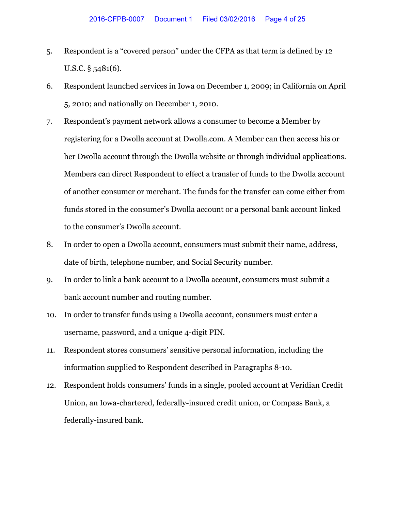- 5. Respondent is a "covered person" under the CFPA as that term is defined by 12 U.S.C. § 5481(6).
- 6. Respondent launched services in Iowa on December 1, 2009; in California on April 5, 2010; and nationally on December 1, 2010.
- 7. Respondent's payment network allows a consumer to become a Member by registering for a Dwolla account at Dwolla.com. A Member can then access his or her Dwolla account through the Dwolla website or through individual applications. Members can direct Respondent to effect a transfer of funds to the Dwolla account of another consumer or merchant. The funds for the transfer can come either from funds stored in the consumer's Dwolla account or a personal bank account linked to the consumer's Dwolla account.
- 8. In order to open a Dwolla account, consumers must submit their name, address, date of birth, telephone number, and Social Security number.
- 9. In order to link a bank account to a Dwolla account, consumers must submit a bank account number and routing number.
- 10. In order to transfer funds using a Dwolla account, consumers must enter a username, password, and a unique 4-digit PIN.
- 11. Respondent stores consumers' sensitive personal information, including the information supplied to Respondent described in Paragraphs 8-10.
- 12. Respondent holds consumers' funds in a single, pooled account at Veridian Credit Union, an Iowa-chartered, federally-insured credit union, or Compass Bank, a federally-insured bank.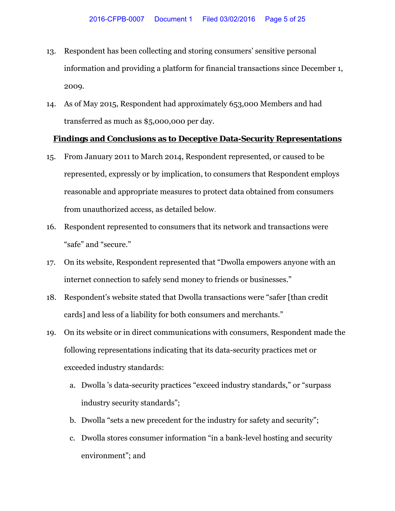- 13. Respondent has been collecting and storing consumers' sensitive personal information and providing a platform for financial transactions since December 1, 2009.
- 14. As of May 2015, Respondent had approximately 653,000 Members and had transferred as much as \$5,000,000 per day.

#### **Findings and Conclusions as to Deceptive Data-Security Representations**

- 15. From January 2011 to March 2014, Respondent represented, or caused to be represented, expressly or by implication, to consumers that Respondent employs reasonable and appropriate measures to protect data obtained from consumers from unauthorized access, as detailed below.
- 16. Respondent represented to consumers that its network and transactions were "safe" and "secure."
- 17. On its website, Respondent represented that "Dwolla empowers anyone with an internet connection to safely send money to friends or businesses."
- 18. Respondent's website stated that Dwolla transactions were "safer [than credit cards] and less of a liability for both consumers and merchants."
- 19. On its website or in direct communications with consumers, Respondent made the following representations indicating that its data-security practices met or exceeded industry standards:
	- a. Dwolla 's data-security practices "exceed industry standards," or "surpass industry security standards";
	- b. Dwolla "sets a new precedent for the industry for safety and security";
	- c. Dwolla stores consumer information "in a bank-level hosting and security environment"; and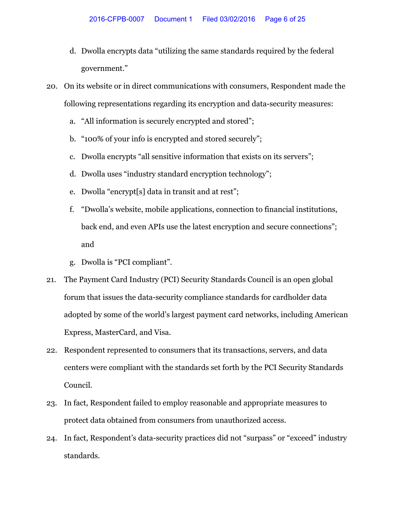- d. Dwolla encrypts data "utilizing the same standards required by the federal government."
- 20. On its website or in direct communications with consumers, Respondent made the following representations regarding its encryption and data-security measures:
	- a. "All information is securely encrypted and stored";
	- b. "100% of your info is encrypted and stored securely";
	- c. Dwolla encrypts "all sensitive information that exists on its servers";
	- d. Dwolla uses "industry standard encryption technology";
	- e. Dwolla "encrypt[s] data in transit and at rest";
	- f. "Dwolla's website, mobile applications, connection to financial institutions, back end, and even APIs use the latest encryption and secure connections"; and
	- g. Dwolla is "PCI compliant".
- 21. The Payment Card Industry (PCI) Security Standards Council is an open global forum that issues the data-security compliance standards for cardholder data adopted by some of the world's largest payment card networks, including American Express, MasterCard, and Visa.
- 22. Respondent represented to consumers that its transactions, servers, and data centers were compliant with the standards set forth by the PCI Security Standards Council.
- 23. In fact, Respondent failed to employ reasonable and appropriate measures to protect data obtained from consumers from unauthorized access.
- 24. In fact, Respondent's data-security practices did not "surpass" or "exceed" industry standards.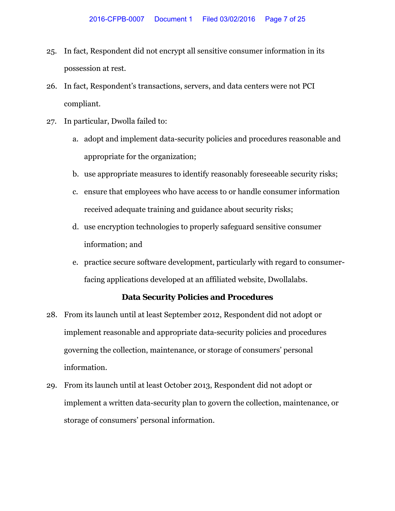- 25. In fact, Respondent did not encrypt all sensitive consumer information in its possession at rest.
- 26. In fact, Respondent's transactions, servers, and data centers were not PCI compliant.
- 27. In particular, Dwolla failed to:
	- a. adopt and implement data-security policies and procedures reasonable and appropriate for the organization;
	- b. use appropriate measures to identify reasonably foreseeable security risks;
	- c. ensure that employees who have access to or handle consumer information received adequate training and guidance about security risks;
	- d. use encryption technologies to properly safeguard sensitive consumer information; and
	- e. practice secure software development, particularly with regard to consumerfacing applications developed at an affiliated website, Dwollalabs.

#### **Data Security Policies and Procedures**

- 28. From its launch until at least September 2012, Respondent did not adopt or implement reasonable and appropriate data-security policies and procedures governing the collection, maintenance, or storage of consumers' personal information.
- 29. From its launch until at least October 2013, Respondent did not adopt or implement a written data-security plan to govern the collection, maintenance, or storage of consumers' personal information.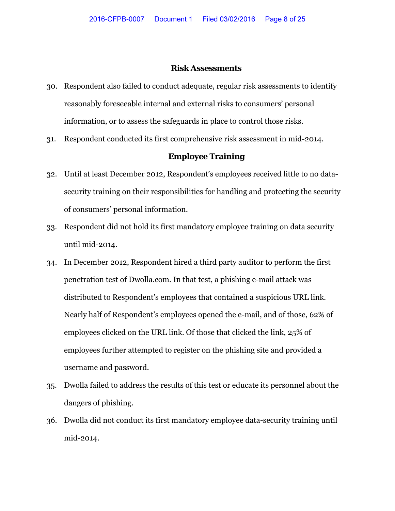#### **Risk Assessments**

- 30. Respondent also failed to conduct adequate, regular risk assessments to identify reasonably foreseeable internal and external risks to consumers' personal information, or to assess the safeguards in place to control those risks.
- 31. Respondent conducted its first comprehensive risk assessment in mid-2014.

#### **Employee Training**

- 32. Until at least December 2012, Respondent's employees received little to no datasecurity training on their responsibilities for handling and protecting the security of consumers' personal information.
- 33. Respondent did not hold its first mandatory employee training on data security until mid-2014.
- 34. In December 2012, Respondent hired a third party auditor to perform the first penetration test of Dwolla.com. In that test, a phishing e-mail attack was distributed to Respondent's employees that contained a suspicious URL link. Nearly half of Respondent's employees opened the e-mail, and of those, 62% of employees clicked on the URL link. Of those that clicked the link, 25% of employees further attempted to register on the phishing site and provided a username and password.
- 35. Dwolla failed to address the results of this test or educate its personnel about the dangers of phishing.
- 36. Dwolla did not conduct its first mandatory employee data-security training until mid-2014.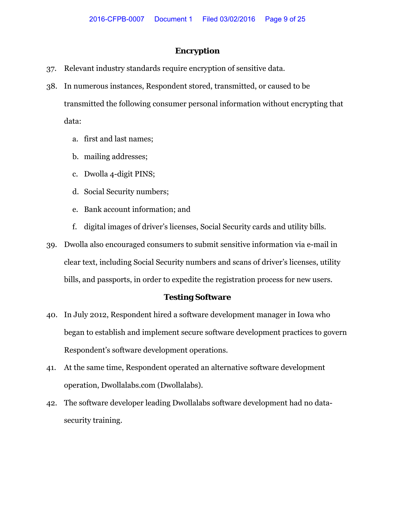#### **Encryption**

- 37. Relevant industry standards require encryption of sensitive data.
- 38. In numerous instances, Respondent stored, transmitted, or caused to be transmitted the following consumer personal information without encrypting that data:
	- a. first and last names;
	- b. mailing addresses;
	- c. Dwolla 4-digit PINS;
	- d. Social Security numbers;
	- e. Bank account information; and
	- f. digital images of driver's licenses, Social Security cards and utility bills.
- 39. Dwolla also encouraged consumers to submit sensitive information via e-mail in clear text, including Social Security numbers and scans of driver's licenses, utility bills, and passports, in order to expedite the registration process for new users.

#### **Testing Software**

- 40. In July 2012, Respondent hired a software development manager in Iowa who began to establish and implement secure software development practices to govern Respondent's software development operations.
- 41. At the same time, Respondent operated an alternative software development operation, Dwollalabs.com (Dwollalabs).
- 42. The software developer leading Dwollalabs software development had no datasecurity training.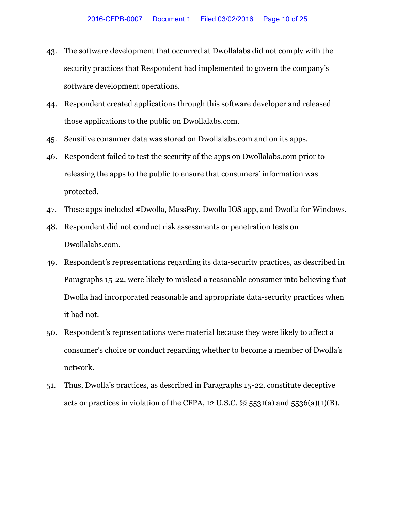- 43. The software development that occurred at Dwollalabs did not comply with the security practices that Respondent had implemented to govern the company's software development operations.
- 44. Respondent created applications through this software developer and released those applications to the public on Dwollalabs.com.
- 45. Sensitive consumer data was stored on Dwollalabs.com and on its apps.
- 46. Respondent failed to test the security of the apps on Dwollalabs.com prior to releasing the apps to the public to ensure that consumers' information was protected.
- 47. These apps included #Dwolla, MassPay, Dwolla IOS app, and Dwolla for Windows.
- 48. Respondent did not conduct risk assessments or penetration tests on Dwollalabs.com.
- 49. Respondent's representations regarding its data-security practices, as described in Paragraphs 15-22, were likely to mislead a reasonable consumer into believing that Dwolla had incorporated reasonable and appropriate data-security practices when it had not.
- 50. Respondent's representations were material because they were likely to affect a consumer's choice or conduct regarding whether to become a member of Dwolla's network.
- 51. Thus, Dwolla's practices, as described in Paragraphs 15-22, constitute deceptive acts or practices in violation of the CFPA, 12 U.S.C.  $\S$ § 5531(a) and 5536(a)(1)(B).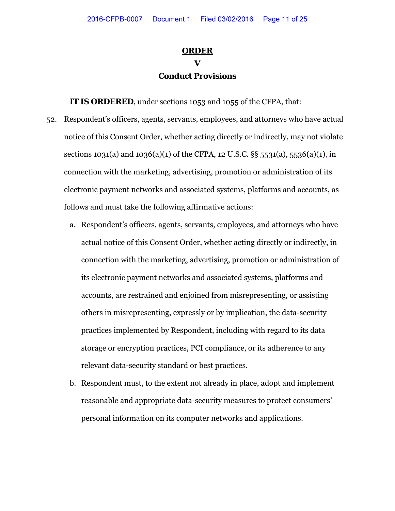### **ORDER**

### **V Conduct Provisions**

**IT IS ORDERED**, under sections 1053 and 1055 of the CFPA, that:

- 52. Respondent's officers, agents, servants, employees, and attorneys who have actual notice of this Consent Order*,* whether acting directly or indirectly, may not violate sections 1031(a) and 1036(a)(1) of the CFPA, 12 U.S.C.  $\S$ § 5531(a), 5536(a)(1), in connection with the marketing, advertising, promotion or administration of its electronic payment networks and associated systems, platforms and accounts, as follows and must take the following affirmative actions:
	- a. Respondent's officers, agents, servants, employees, and attorneys who have actual notice of this Consent Order, whether acting directly or indirectly, in connection with the marketing, advertising, promotion or administration of its electronic payment networks and associated systems, platforms and accounts, are restrained and enjoined from misrepresenting, or assisting others in misrepresenting, expressly or by implication, the data-security practices implemented by Respondent, including with regard to its data storage or encryption practices, PCI compliance, or its adherence to any relevant data-security standard or best practices.
	- b. Respondent must, to the extent not already in place, adopt and implement reasonable and appropriate data-security measures to protect consumers' personal information on its computer networks and applications.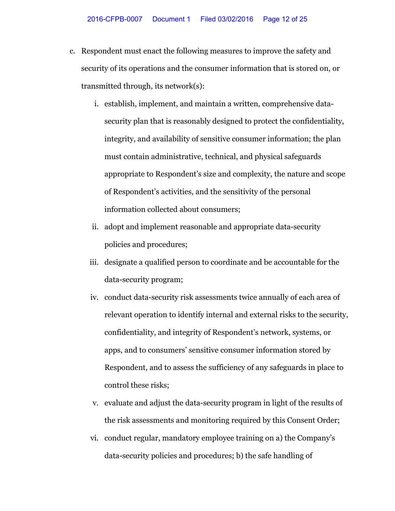- c. Respondent must enact the following measures to improve the safety and security of its operations and the consumer information that is stored on, or transmitted through, its network(s):
	- i. establish, implement, and maintain a written, comprehensive datasecurity plan that is reasonably designed to protect the confidentiality, integrity, and availability of sensitive consumer information; the plan must contain administrative, technical, and physical safeguards appropriate to Respondent's size and complexity, the nature and scope of Respondent's activities, and the sensitivity of the personal information collected about consumers;
	- ii. adopt and implement reasonable and appropriate data-security policies and procedures;
	- iii. designate a qualified person to coordinate and be accountable for the data-security program;
	- iv. conduct data-security risk assessments twice annually of each area of relevant operation to identify internal and external risks to the security, confidentiality, and integrity of Respondent's network, systems, or apps, and to consumers' sensitive consumer information stored by Respondent, and to assess the sufficiency of any safeguards in place to control these risks;
	- v. evaluate and adjust the data-security program in light of the results of the risk assessments and monitoring required by this Consent Order;
	- vi. conduct regular, mandatory employee training on a) the Company's data-security policies and procedures; b) the safe handling of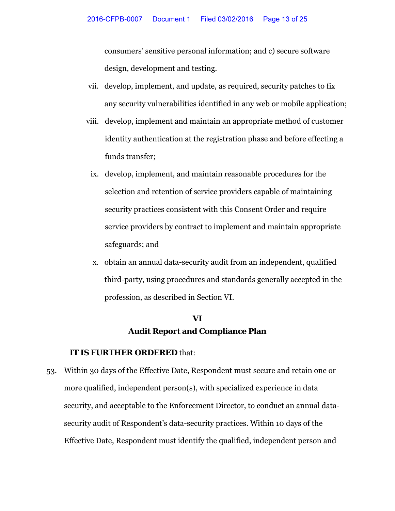consumers' sensitive personal information; and c) secure software design, development and testing.

- vii. develop, implement, and update, as required, security patches to fix any security vulnerabilities identified in any web or mobile application;
- viii. develop, implement and maintain an appropriate method of customer identity authentication at the registration phase and before effecting a funds transfer;
	- ix. develop, implement, and maintain reasonable procedures for the selection and retention of service providers capable of maintaining security practices consistent with this Consent Order and require service providers by contract to implement and maintain appropriate safeguards; and
	- x. obtain an annual data-security audit from an independent, qualified third-party, using procedures and standards generally accepted in the profession, as described in Section VI.

## **VI Audit Report and Compliance Plan**

#### **IT IS FURTHER ORDERED** that:

53. Within 30 days of the Effective Date, Respondent must secure and retain one or more qualified, independent person(s), with specialized experience in data security, and acceptable to the Enforcement Director, to conduct an annual datasecurity audit of Respondent's data-security practices. Within 10 days of the Effective Date, Respondent must identify the qualified, independent person and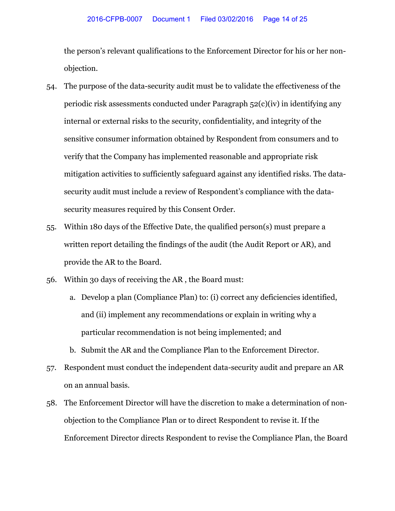the person's relevant qualifications to the Enforcement Director for his or her nonobjection.

- 54. The purpose of the data-security audit must be to validate the effectiveness of the periodic risk assessments conducted under Paragraph 52(c)(iv) in identifying any internal or external risks to the security, confidentiality, and integrity of the sensitive consumer information obtained by Respondent from consumers and to verify that the Company has implemented reasonable and appropriate risk mitigation activities to sufficiently safeguard against any identified risks. The datasecurity audit must include a review of Respondent's compliance with the datasecurity measures required by this Consent Order.
- 55. Within 180 days of the Effective Date, the qualified person(s) must prepare a written report detailing the findings of the audit (the Audit Report or AR), and provide the AR to the Board.
- 56. Within 30 days of receiving the AR , the Board must:
	- a. Develop a plan (Compliance Plan) to: (i) correct any deficiencies identified, and (ii) implement any recommendations or explain in writing why a particular recommendation is not being implemented; and
	- b. Submit the AR and the Compliance Plan to the Enforcement Director.
- 57. Respondent must conduct the independent data-security audit and prepare an AR on an annual basis.
- 58. The Enforcement Director will have the discretion to make a determination of nonobjection to the Compliance Plan or to direct Respondent to revise it. If the Enforcement Director directs Respondent to revise the Compliance Plan, the Board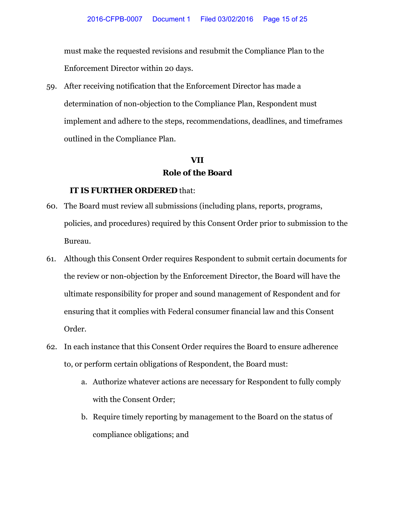must make the requested revisions and resubmit the Compliance Plan to the Enforcement Director within 20 days.

59. After receiving notification that the Enforcement Director has made a determination of non-objection to the Compliance Plan, Respondent must implement and adhere to the steps, recommendations, deadlines, and timeframes outlined in the Compliance Plan.

## **VII Role of the Board**

- 60. The Board must review all submissions (including plans, reports, programs, policies, and procedures) required by this Consent Order prior to submission to the Bureau.
- 61. Although this Consent Order requires Respondent to submit certain documents for the review or non-objection by the Enforcement Director, the Board will have the ultimate responsibility for proper and sound management of Respondent and for ensuring that it complies with Federal consumer financial law and this Consent Order.
- 62. In each instance that this Consent Order requires the Board to ensure adherence to, or perform certain obligations of Respondent, the Board must:
	- a. Authorize whatever actions are necessary for Respondent to fully comply with the Consent Order;
	- b. Require timely reporting by management to the Board on the status of compliance obligations; and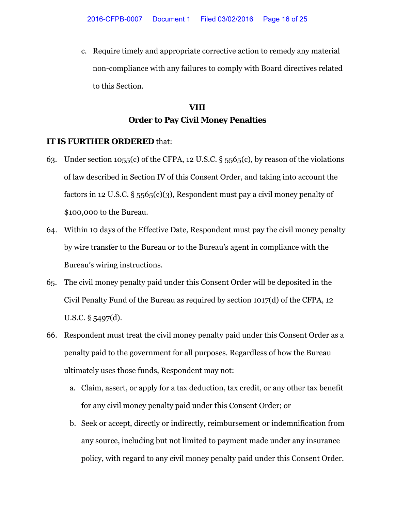c. Require timely and appropriate corrective action to remedy any material non-compliance with any failures to comply with Board directives related to this Section.

# **VIII Order to Pay Civil Money Penalties**

- 63. Under section 1055(c) of the CFPA, 12 U.S.C. § 5565(c), by reason of the violations of law described in Section IV of this Consent Order, and taking into account the factors in 12 U.S.C.  $\S$  5565(c)(3), Respondent must pay a civil money penalty of \$100,000 to the Bureau.
- 64. Within 10 days of the Effective Date, Respondent must pay the civil money penalty by wire transfer to the Bureau or to the Bureau's agent in compliance with the Bureau's wiring instructions.
- 65. The civil money penalty paid under this Consent Order will be deposited in the Civil Penalty Fund of the Bureau as required by section 1017(d) of the CFPA, 12 U.S.C. § 5497(d).
- 66. Respondent must treat the civil money penalty paid under this Consent Order as a penalty paid to the government for all purposes. Regardless of how the Bureau ultimately uses those funds, Respondent may not:
	- a. Claim, assert, or apply for a tax deduction, tax credit, or any other tax benefit for any civil money penalty paid under this Consent Order; or
	- b. Seek or accept, directly or indirectly, reimbursement or indemnification from any source, including but not limited to payment made under any insurance policy, with regard to any civil money penalty paid under this Consent Order.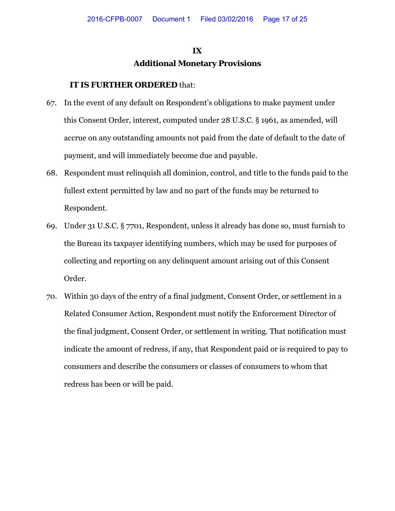## **IX Additional Monetary Provisions**

- 67. In the event of any default on Respondent's obligations to make payment under this Consent Order, interest, computed under 28 U.S.C. § 1961, as amended, will accrue on any outstanding amounts not paid from the date of default to the date of payment, and will immediately become due and payable.
- 68. Respondent must relinquish all dominion, control, and title to the funds paid to the fullest extent permitted by law and no part of the funds may be returned to Respondent.
- 69. Under 31 U.S.C. § 7701, Respondent, unless it already has done so, must furnish to the Bureau its taxpayer identifying numbers, which may be used for purposes of collecting and reporting on any delinquent amount arising out of this Consent Order.
- 70. Within 30 days of the entry of a final judgment, Consent Order, or settlement in a Related Consumer Action, Respondent must notify the Enforcement Director of the final judgment, Consent Order, or settlement in writing. That notification must indicate the amount of redress, if any, that Respondent paid or is required to pay to consumers and describe the consumers or classes of consumers to whom that redress has been or will be paid.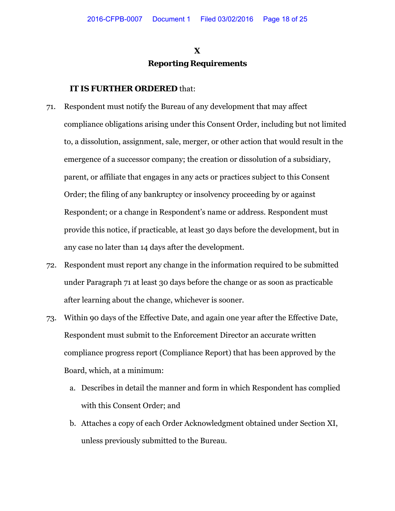## **X Reporting Requirements**

- 71. Respondent must notify the Bureau of any development that may affect compliance obligations arising under this Consent Order, including but not limited to, a dissolution, assignment, sale, merger, or other action that would result in the emergence of a successor company; the creation or dissolution of a subsidiary, parent, or affiliate that engages in any acts or practices subject to this Consent Order; the filing of any bankruptcy or insolvency proceeding by or against Respondent; or a change in Respondent's name or address. Respondent must provide this notice, if practicable, at least 30 days before the development, but in any case no later than 14 days after the development.
- 72. Respondent must report any change in the information required to be submitted under Paragraph 71 at least 30 days before the change or as soon as practicable after learning about the change, whichever is sooner.
- 73. Within 90 days of the Effective Date, and again one year after the Effective Date, Respondent must submit to the Enforcement Director an accurate written compliance progress report (Compliance Report) that has been approved by the Board, which, at a minimum:
	- a. Describes in detail the manner and form in which Respondent has complied with this Consent Order; and
	- b. Attaches a copy of each Order Acknowledgment obtained under Section XI, unless previously submitted to the Bureau.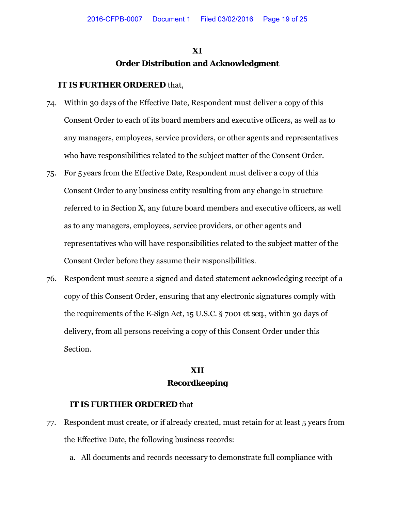## **XI Order Distribution and Acknowledgment**

#### **IT IS FURTHER ORDERED** that,

- 74. Within 30 days of the Effective Date, Respondent must deliver a copy of this Consent Order to each of its board members and executive officers, as well as to any managers, employees, service providers, or other agents and representatives who have responsibilities related to the subject matter of the Consent Order.
- 75. For 5 years from the Effective Date, Respondent must deliver a copy of this Consent Order to any business entity resulting from any change in structure referred to in Section X, any future board members and executive officers, as well as to any managers, employees, service providers, or other agents and representatives who will have responsibilities related to the subject matter of the Consent Order before they assume their responsibilities.
- 76. Respondent must secure a signed and dated statement acknowledging receipt of a copy of this Consent Order, ensuring that any electronic signatures comply with the requirements of the E-Sign Act, 15 U.S.C. § 7001 *et seq.*, within 30 days of delivery, from all persons receiving a copy of this Consent Order under this Section.

### **XII Recordkeeping**

- 77. Respondent must create, or if already created, must retain for at least 5 years from the Effective Date, the following business records:
	- a. All documents and records necessary to demonstrate full compliance with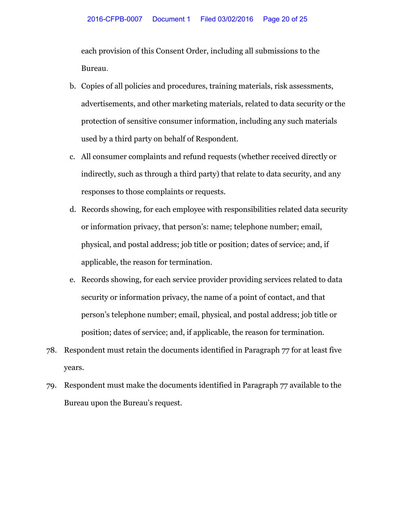each provision of this Consent Order, including all submissions to the Bureau.

- b. Copies of all policies and procedures, training materials, risk assessments, advertisements, and other marketing materials, related to data security or the protection of sensitive consumer information, including any such materials used by a third party on behalf of Respondent.
- c. All consumer complaints and refund requests (whether received directly or indirectly, such as through a third party) that relate to data security, and any responses to those complaints or requests.
- d. Records showing, for each employee with responsibilities related data security or information privacy, that person's: name; telephone number; email, physical, and postal address; job title or position; dates of service; and, if applicable, the reason for termination.
- e. Records showing, for each service provider providing services related to data security or information privacy, the name of a point of contact, and that person's telephone number; email, physical, and postal address; job title or position; dates of service; and, if applicable, the reason for termination.
- 78. Respondent must retain the documents identified in Paragraph 77 for at least five years.
- 79. Respondent must make the documents identified in Paragraph 77 available to the Bureau upon the Bureau's request.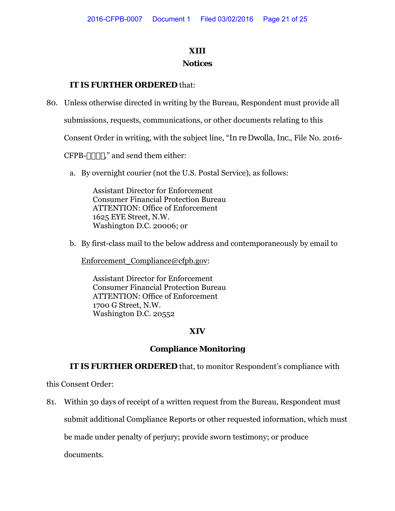## **XIII**

#### **Notices**

### **IT IS FURTHER ORDERED** that:

80. Unless otherwise directed in writing by the Bureau, Respondent must provide all

submissions, requests, communications, or other documents relating to this

Consent Order in writing, with the subject line, "*In re Dwolla, Inc.*, File No. 2016-

 $CFPB-SSS+,''$  and send them either:

a. By overnight courier (not the U.S. Postal Service), as follows:

Assistant Director for Enforcement Consumer Financial Protection Bureau ATTENTION: Office of Enforcement 1625 EYE Street, N.W. Washington D.C. 20006; or

b. By first-class mail to the below address and contemporaneously by email to

[Enforcement\\_Compliance@cfpb.gov:](mailto:Enforcement_Compliance@cfpb.gov)

Assistant Director for Enforcement Consumer Financial Protection Bureau ATTENTION: Office of Enforcement 1700 G Street, N.W. Washington D.C. 20552

#### **XIV**

#### **Compliance Monitoring**

**IT IS FURTHER ORDERED** that, to monitor Respondent's compliance with

this Consent Order:

81. Within 30 days of receipt of a written request from the Bureau, Respondent must submit additional Compliance Reports or other requested information, which must be made under penalty of perjury; provide sworn testimony; or produce documents.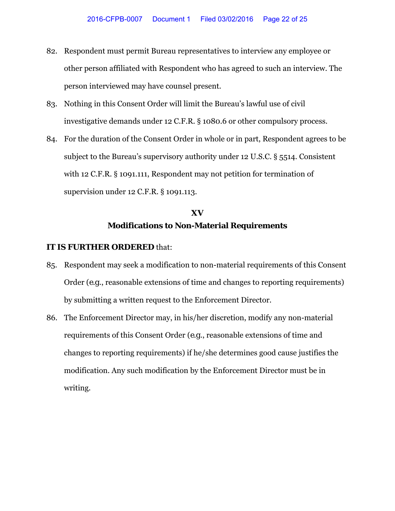- 82. Respondent must permit Bureau representatives to interview any employee or other person affiliated with Respondent who has agreed to such an interview. The person interviewed may have counsel present.
- 83. Nothing in this Consent Order will limit the Bureau's lawful use of civil investigative demands under 12 C.F.R. § 1080.6 or other compulsory process.
- 84. For the duration of the Consent Order in whole or in part, Respondent agrees to be subject to the Bureau's supervisory authority under 12 U.S.C. § 5514. Consistent with 12 C.F.R. § 1091.111, Respondent may not petition for termination of supervision under 12 C.F.R. § 1091.113.

# **XV Modifications to Non-Material Requirements**

- 85. Respondent may seek a modification to non-material requirements of this Consent Order (*e.g*., reasonable extensions of time and changes to reporting requirements) by submitting a written request to the Enforcement Director.
- 86. The Enforcement Director may, in his/her discretion, modify any non-material requirements of this Consent Order (*e.g*., reasonable extensions of time and changes to reporting requirements) if he/she determines good cause justifies the modification. Any such modification by the Enforcement Director must be in writing.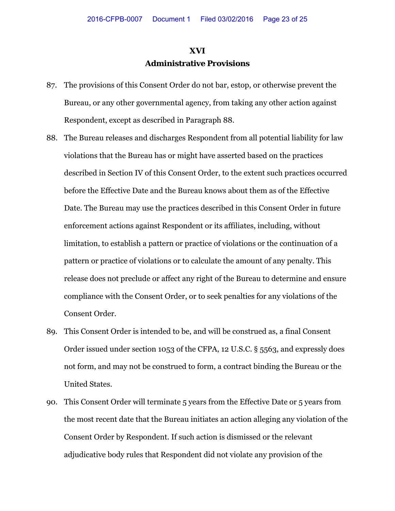### **XVI Administrative Provisions**

- 87. The provisions of this Consent Order do not bar, estop, or otherwise prevent the Bureau, or any other governmental agency, from taking any other action against Respondent, except as described in Paragraph 88.
- 88. The Bureau releases and discharges Respondent from all potential liability for law violations that the Bureau has or might have asserted based on the practices described in Section IV of this Consent Order, to the extent such practices occurred before the Effective Date and the Bureau knows about them as of the Effective Date. The Bureau may use the practices described in this Consent Order in future enforcement actions against Respondent or its affiliates, including, without limitation, to establish a pattern or practice of violations or the continuation of a pattern or practice of violations or to calculate the amount of any penalty. This release does not preclude or affect any right of the Bureau to determine and ensure compliance with the Consent Order, or to seek penalties for any violations of the Consent Order.
- 89. This Consent Order is intended to be, and will be construed as, a final Consent Order issued under section 1053 of the CFPA, 12 U.S.C. § 5563, and expressly does not form, and may not be construed to form, a contract binding the Bureau or the United States.
- 90. This Consent Order will terminate 5 years from the Effective Date or 5 years from the most recent date that the Bureau initiates an action alleging any violation of the Consent Order by Respondent. If such action is dismissed or the relevant adjudicative body rules that Respondent did not violate any provision of the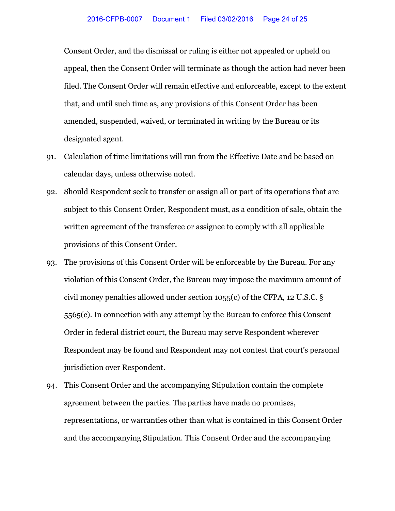Consent Order, and the dismissal or ruling is either not appealed or upheld on appeal, then the Consent Order will terminate as though the action had never been filed. The Consent Order will remain effective and enforceable, except to the extent that, and until such time as, any provisions of this Consent Order has been amended, suspended, waived, or terminated in writing by the Bureau or its designated agent.

- 91. Calculation of time limitations will run from the Effective Date and be based on calendar days, unless otherwise noted.
- 92. Should Respondent seek to transfer or assign all or part of its operations that are subject to this Consent Order, Respondent must, as a condition of sale, obtain the written agreement of the transferee or assignee to comply with all applicable provisions of this Consent Order.
- 93. The provisions of this Consent Order will be enforceable by the Bureau. For any violation of this Consent Order, the Bureau may impose the maximum amount of civil money penalties allowed under section 1055(c) of the CFPA, 12 U.S.C. § 5565(c). In connection with any attempt by the Bureau to enforce this Consent Order in federal district court, the Bureau may serve Respondent wherever Respondent may be found and Respondent may not contest that court's personal jurisdiction over Respondent.
- 94. This Consent Order and the accompanying Stipulation contain the complete agreement between the parties. The parties have made no promises, representations, or warranties other than what is contained in this Consent Order and the accompanying Stipulation. This Consent Order and the accompanying